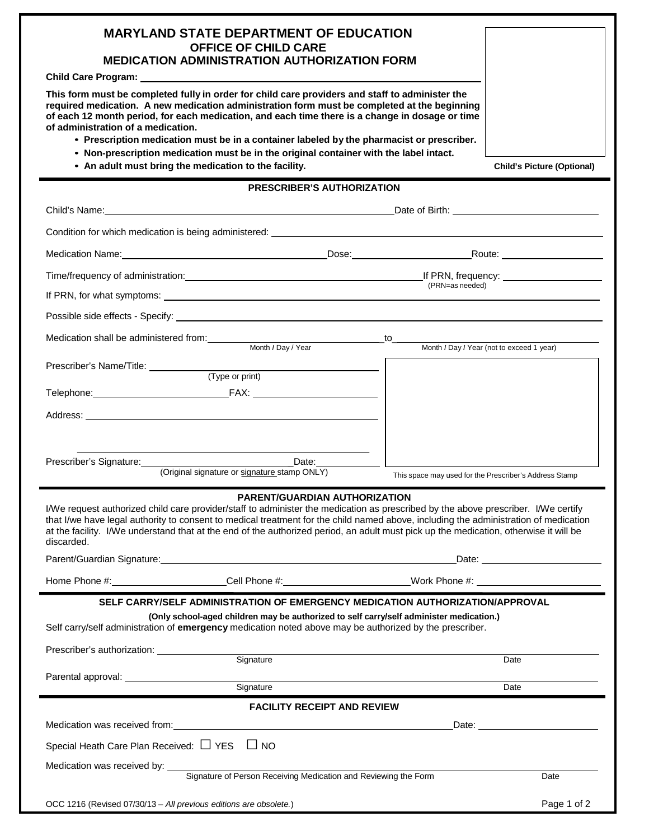| <b>MARYLAND STATE DEPARTMENT OF EDUCATION</b><br><b>OFFICE OF CHILD CARE</b><br><b>MEDICATION ADMINISTRATION AUTHORIZATION FORM</b>                                                                                                                                                                                                                                                                                                                                                                                             |                                                                                                                                                                                                                                      |  |  |  |  |  |
|---------------------------------------------------------------------------------------------------------------------------------------------------------------------------------------------------------------------------------------------------------------------------------------------------------------------------------------------------------------------------------------------------------------------------------------------------------------------------------------------------------------------------------|--------------------------------------------------------------------------------------------------------------------------------------------------------------------------------------------------------------------------------------|--|--|--|--|--|
| This form must be completed fully in order for child care providers and staff to administer the<br>required medication. A new medication administration form must be completed at the beginning<br>of each 12 month period, for each medication, and each time there is a change in dosage or time<br>of administration of a medication.<br>• Prescription medication must be in a container labeled by the pharmacist or prescriber.<br>. Non-prescription medication must be in the original container with the label intact. |                                                                                                                                                                                                                                      |  |  |  |  |  |
| • An adult must bring the medication to the facility.<br><b>PRESCRIBER'S AUTHORIZATION</b>                                                                                                                                                                                                                                                                                                                                                                                                                                      | <b>Child's Picture (Optional)</b>                                                                                                                                                                                                    |  |  |  |  |  |
|                                                                                                                                                                                                                                                                                                                                                                                                                                                                                                                                 |                                                                                                                                                                                                                                      |  |  |  |  |  |
|                                                                                                                                                                                                                                                                                                                                                                                                                                                                                                                                 | Date of Birth: <u>contract and a series of the series of the series of the series of the series of the series of the series of the series of the series of the series of the series of the series of the series of the series of</u> |  |  |  |  |  |
|                                                                                                                                                                                                                                                                                                                                                                                                                                                                                                                                 |                                                                                                                                                                                                                                      |  |  |  |  |  |
|                                                                                                                                                                                                                                                                                                                                                                                                                                                                                                                                 |                                                                                                                                                                                                                                      |  |  |  |  |  |
|                                                                                                                                                                                                                                                                                                                                                                                                                                                                                                                                 | (PRN=as needed)                                                                                                                                                                                                                      |  |  |  |  |  |
|                                                                                                                                                                                                                                                                                                                                                                                                                                                                                                                                 |                                                                                                                                                                                                                                      |  |  |  |  |  |
|                                                                                                                                                                                                                                                                                                                                                                                                                                                                                                                                 |                                                                                                                                                                                                                                      |  |  |  |  |  |
| <u> 1980 - Jan Barbara Barat, prima populație de la programa de la programa de la programa de la programa de la</u><br>Month / Day / Year                                                                                                                                                                                                                                                                                                                                                                                       | _to_____<br>Month / Day / Year (not to exceed 1 year)                                                                                                                                                                                |  |  |  |  |  |
| Prescriber's Name/Title: ___________<br>(Type or print)                                                                                                                                                                                                                                                                                                                                                                                                                                                                         |                                                                                                                                                                                                                                      |  |  |  |  |  |
|                                                                                                                                                                                                                                                                                                                                                                                                                                                                                                                                 |                                                                                                                                                                                                                                      |  |  |  |  |  |
|                                                                                                                                                                                                                                                                                                                                                                                                                                                                                                                                 |                                                                                                                                                                                                                                      |  |  |  |  |  |
| Prescriber's Signature: (Original signature or signature stamp ONLY)                                                                                                                                                                                                                                                                                                                                                                                                                                                            | This space may used for the Prescriber's Address Stamp                                                                                                                                                                               |  |  |  |  |  |
| <b>PARENT/GUARDIAN AUTHORIZATION</b><br>I/We request authorized child care provider/staff to administer the medication as prescribed by the above prescriber. I/We certify<br>that I/we have legal authority to consent to medical treatment for the child named above, including the administration of medication<br>at the facility. I/We understand that at the end of the authorized period, an adult must pick up the medication, otherwise it will be<br>discarded.                                                       |                                                                                                                                                                                                                                      |  |  |  |  |  |
| Parent/Guardian Signature: Management of the Contract of the Contract of the Contract of the Contract of the Contract of the Contract of the Contract of the Contract of the Contract of the Contract of the Contract of the C                                                                                                                                                                                                                                                                                                  | Date: <u>_____________________</u>                                                                                                                                                                                                   |  |  |  |  |  |
| Home Phone #: ______________________Cell Phone #: ___________________________Work Phone #: ___________________                                                                                                                                                                                                                                                                                                                                                                                                                  |                                                                                                                                                                                                                                      |  |  |  |  |  |
| SELF CARRY/SELF ADMINISTRATION OF EMERGENCY MEDICATION AUTHORIZATION/APPROVAL<br>(Only school-aged children may be authorized to self carry/self administer medication.)<br>Self carry/self administration of <b>emergency</b> medication noted above may be authorized by the prescriber.                                                                                                                                                                                                                                      |                                                                                                                                                                                                                                      |  |  |  |  |  |
| Prescriber's authorization: <b>with the control of the control of the control of the control of the control of the control of the control of the control of the control of the control of the control of the control of the cont</b><br>Signature                                                                                                                                                                                                                                                                               | Date                                                                                                                                                                                                                                 |  |  |  |  |  |
| Signature                                                                                                                                                                                                                                                                                                                                                                                                                                                                                                                       |                                                                                                                                                                                                                                      |  |  |  |  |  |
|                                                                                                                                                                                                                                                                                                                                                                                                                                                                                                                                 | Date                                                                                                                                                                                                                                 |  |  |  |  |  |
| <b>FACILITY RECEIPT AND REVIEW</b><br>Medication was received from: example and the set of the set of the set of the set of the set of the set of the set of the set of the set of the set of the set of the set of the set of the set of the set of the set of the                                                                                                                                                                                                                                                             |                                                                                                                                                                                                                                      |  |  |  |  |  |
| Special Heath Care Plan Received: $\Box$ YES $\Box$ NO                                                                                                                                                                                                                                                                                                                                                                                                                                                                          |                                                                                                                                                                                                                                      |  |  |  |  |  |
|                                                                                                                                                                                                                                                                                                                                                                                                                                                                                                                                 |                                                                                                                                                                                                                                      |  |  |  |  |  |
| Medication was received by:<br>Signature of Person Receiving Medication and Reviewing the Form                                                                                                                                                                                                                                                                                                                                                                                                                                  | Date                                                                                                                                                                                                                                 |  |  |  |  |  |
| OCC 1216 (Revised 07/30/13 - All previous editions are obsolete.)                                                                                                                                                                                                                                                                                                                                                                                                                                                               | Page 1 of 2                                                                                                                                                                                                                          |  |  |  |  |  |